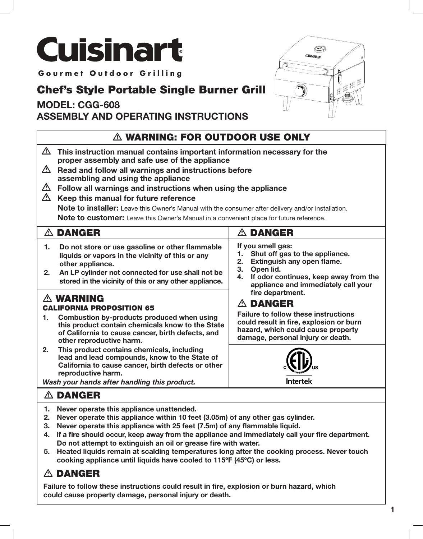# **Cuisinart**

**Gourmet Outdoor Grillin g**

### Chef's Style Portable Single Burner Grill

#### MODEL: CGG-608

ASSEMBLY AND OPERATING INSTRUCTIONS



## $\triangle$  WARNING: FOR OUTDOOR USE ONLY

- $\triangle$  This instruction manual contains important information necessary for the proper assembly and safe use of the appliance
- $\triangle$  Read and follow all warnings and instructions before assembling and using the appliance
- $\triangle$  Follow all warnings and instructions when using the appliance
- $\triangle$  Keep this manual for future reference

Note to installer: Leave this Owner's Manual with the consumer after delivery and/or installation.

Note to customer: Leave this Owner's Manual in a convenient place for future reference.

| $\triangle$ danger                                                                                                                                                                                                                                 | $\triangle$ danger                                                                                                                                                                                                             |  |
|----------------------------------------------------------------------------------------------------------------------------------------------------------------------------------------------------------------------------------------------------|--------------------------------------------------------------------------------------------------------------------------------------------------------------------------------------------------------------------------------|--|
| Do not store or use gasoline or other flammable<br>1.<br>liquids or vapors in the vicinity of this or any<br>other appliance.<br>An LP cylinder not connected for use shall not be<br>2.<br>stored in the vicinity of this or any other appliance. | If you smell gas:<br>Shut off gas to the appliance.<br>Extinguish any open flame.<br>2.<br>3.<br>Open lid.<br>If odor continues, keep away from the<br>4.<br>appliance and immediately call your                               |  |
| $\triangle$ WARNING<br><b>CALIFORNIA PROPOSITION 65</b>                                                                                                                                                                                            | fire department.<br>$\triangle$ danger<br><b>Failure to follow these instructions</b><br>could result in fire, explosion or burn<br>hazard, which could cause property<br>damage, personal injury or death.<br><b>Intertek</b> |  |
| Combustion by-products produced when using<br>1.<br>this product contain chemicals know to the State<br>of California to cause cancer, birth defects, and<br>other reproductive harm.                                                              |                                                                                                                                                                                                                                |  |
| 2 <sub>1</sub><br>This product contains chemicals, including<br>lead and lead compounds, know to the State of<br>California to cause cancer, birth defects or other<br>reproductive harm.<br>Wash your hands after handling this product.          |                                                                                                                                                                                                                                |  |
| DANGER                                                                                                                                                                                                                                             |                                                                                                                                                                                                                                |  |

- 1. Never operate this appliance unattended.
- 2. Never operate this appliance within 10 feet (3.05m) of any other gas cylinder.
- 3. Never operate this appliance with 25 feet (7.5m) of any flammable liquid.
- 4. lf a fire should occur, keep away from the appliance and immediately call your fire department. Do not attempt to extinguish an oil or grease fire with water.
- 5. Heated liquids remain at scalding temperatures long after the cooking process. Never touch cooking appliance until liquids have cooled to 115ºF (45ºC) or less.

#### $\triangle$  DANGER

Failure to follow these instructions could result in fire, explosion or burn hazard, which could cause property damage, personal injury or death.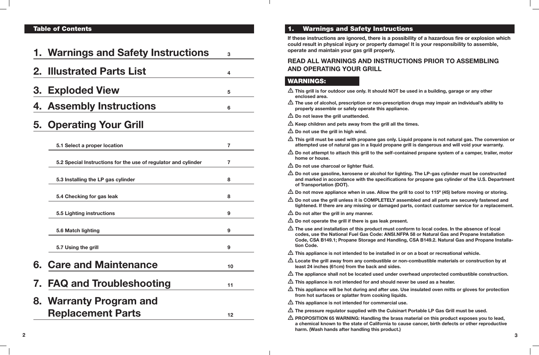#### Table of Contents

|    | 1. Warnings and Safety Instructions                            | 3              |
|----|----------------------------------------------------------------|----------------|
|    | 2. Illustrated Parts List                                      | 4              |
| 3. | <b>Exploded View</b>                                           | 5              |
|    | <b>4. Assembly Instructions</b>                                | 6              |
|    | 5. Operating Your Grill                                        |                |
|    | 5.1 Select a proper location                                   | 7              |
|    | 5.2 Special Instructions for the use of regulator and cylinder | $\overline{7}$ |
|    | 5.3 Installing the LP gas cylinder                             | 8              |
|    | 5.4 Checking for gas leak                                      | 8              |
|    | 5.5 Lighting instructions                                      | 9              |
|    | 5.6 Match lighting                                             | 9              |
|    | 5.7 Using the grill                                            | 9              |
|    | <b>6. Care and Maintenance</b>                                 | 10             |
|    | 7. FAQ and Troubleshooting                                     | 11             |
|    | 8. Warranty Program and<br><b>Replacement Parts</b>            | 12             |

#### **Warnings and Safety Instructions**

If these instructions are ignored, there is a possibility of a hazardous fire or explosion which could result in physical injury or property damage! It is your responsibility to assemble, operate and maintain your gas grill properly.

 $\triangle$  This grill must be used with propane gas only. Liquid propane is not natural gas. The conversion or attempted use of natural gas in a liquid propane grill is dangerous and will void your warranty.

 $\triangle$  Do not attempt to attach this grill to the self-contained propane system of a camper, trailer, motor

#### READ ALL WARNINGS AND INSTRUCTIONS PRIOR TO ASSEMBLING AND OPERATING YOUR GRILL

#### WARNINGS:

 $\triangle$  Do not use gasoline, kerosene or alcohol for lighting. The LP-gas cylinder must be constructed and marked in accordance with the specifications for propane gas cylinder of the U.S. Department

 $\triangle$  Do not move appliance when in use. Allow the grill to cool to 115 $^{\circ}$  (45) before moving or storing.

 $\triangle$  Do not use the grill unless it is COMPLETELY assembled and all parts are securely fastened and tightened. If there are any missing or damaged parts, contact customer service for a replacement.

 $\triangle$  The use and installation of this product must conform to local codes. In the absence of local codes, use the National Fuel Gas Code: ANSI.NFPA 58 or Natural Gas and Propane Installation Code, CSA B149.1; Propane Storage and Handling, CSA B149.2. Natural Gas and Propane Installa-

 $\triangle$  This appliance is not intended to be installed in or on a boat or recreational vehicle.

 $\triangle$  Locate the grill away from any combustible or non-combustible materials or construction by at

 $\triangle$  The appliance shall not be located used under overhead unprotected combustible construction.

 $\triangle$  This appliance will be hot during and after use. Use insulated oven mitts or gloves for protection

 $\triangle$  The pressure regulator supplied with the Cuisinart Portable LP Gas Grill must be used.

 $\triangle$  PROPOSITION 65 WARNING: Handling the brass material on this product exposes you to lead, a chemical known to the state of California to cause cancer, birth defects or other reproductive

- enclosed area.
- properly assemble or safely operate this appliance.
- $\triangle$  Do not leave the grill unattended.
- $\triangle$  Keep children and pets away from the grill all the times.
- $\triangle$  Do not use the grill in high wind.
- 
- home or house.
- $\triangle$  Do not use charcoal or lighter fluid.
- of Transportation (DOT).
- 
- 
- $\triangle$  Do not alter the grill in any manner.
- $\triangle$  Do not operate the grill if there is gas leak present.
- tion Code.
- 
- least 24 inches (61cm) from the back and sides.
- 
- $\triangle$  This appliance is not intended for and should never be used as a heater.
- from hot surfaces or splatter from cooking liquids.
- $\triangle$  This appliance is not intended for commercial use.
- 
- harm. (Wash hands after handling this product.)

 $\triangle$  This grill is for outdoor use only. It should NOT be used in a building, garage or any other

 $\triangle$  The use of alcohol, prescription or non-prescription drugs may impair an individual's ability to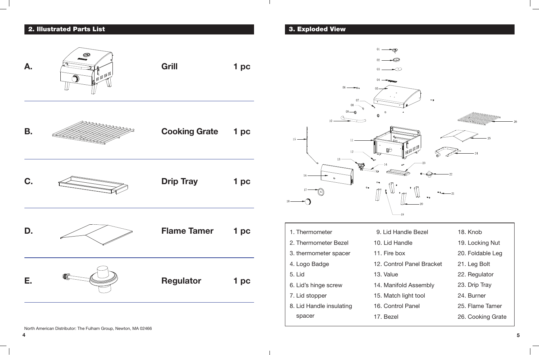

spacer

- 
- 
- 
- 
- 
- 
- 
- 
- 17. Bezel
- 
- 
- 
- 
- 
- 
- 
- 
- 26. Cooking Grate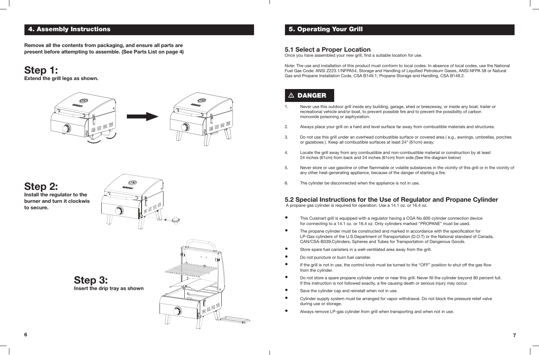#### 4. Assembly Instructions

Remove all the contents from packaging, and ensure all parts are present before attempting to assemble. (See Parts List on page 4)

> Step 3: Insert the drip tray as shown.



# Step 1:

Extend the grill legs as shown.



# Step 2:

Install the regulator to the burner and turn it clockwis to secure.



#### 5. Operating Your Grill

#### 5.1 Select a Proper Location

Once you have assembled your new grill, find a suitable location for use.

Note: The use and installation of this product must conform to local codes. In absence of local codes, use the National Fuel Gas Code: ANSI Z223.1/NFPA54, Storage and Handling of Liquified Petroleum Gases, ANSI.NFPA 58 or Natural Gas and Propane Installation Code, CSA B149.1; Propane Storage and Handling, CSA B149.2.

#### $\triangle$  DANGER

1. Never use this outdoor grill inside any building, garage, shed or breezeway, or inside any boat, trailer or recreational vehicle and/or boat, to prevent possible fire and to prevent the possibility of carbon

• This Cuisinart grill is equipped with a regulator having a CGA No.600 cylinder connection device for connecting to a 14.1 oz. or 16.4 oz. Only cylinders marked "PROPANE" must be used.

2. Always place your grill on a hard and level surface far away from combustible materials and structures.

3. Do not use this grill under an overhead combustible surface or covered area ( e.g., awnings, umbrellas, porches

4. Locate the grill away from any combustible and non-combustible material or construction by at least

- monoxide poisoning or asphyxiation.
- 
- or gazeboes ). Keep all combustible surfaces at least 24" (61cm) away.
- 24 inches (61cm) from back and 24 inches (61cm) from side.(See the diagram below)
- any other heat-generating appliance, because of the danger of starting a fire.
- 6. The cylinder be disconnected when the appliance is not in use.

• Do not store a spare propane cylinder under or near this grill. Never fill the cylinder beyond 80 percent full. If this instruction is not followed exactly, a fire causing death or serious injury may occur.

- 
- The propane cylinder must be constructed and marked in accordance with the specification for CAN/CSA-B339,Cylinders, Spheres and Tubes for Transportation of Dangerous Goods.
- Store spare fuel canisters in a well-ventilated area away from the grill.
- Do not puncture or burn fuel canister.
- from the cylinder.
- 
- Save the cylinder cap and reinstall when not in use.
- during use or storage.
- Always remove LP-gas cylinder from grill when transporting and when not in use.

5. Never store or use gasoline or other flammable or volatile substances in the vicinity of this grill or in the vicinity of

#### 5.2 Special Instructions for the Use of Regulator and Propane Cylinder

A propane gas cylinder is required for operation. Use a 14.1 oz. or 16.4 oz.

LP-Gas cylinders of the U.S Department of Transportation (D.O.T) or the National standard of Canada,

• If the grill is not in use, the control knob must be turned to the "OFF" position to shut off the gas flow

• Cylinder supply system must be arranged for vapor withdrawal. Do not block the pressure relief valve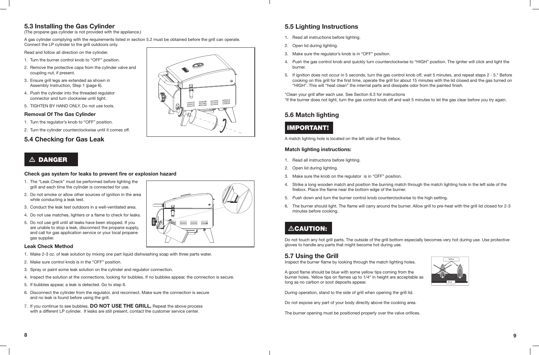#### 5.3 Installing the Gas Cylinder

(The propane gas cylinder is not provided with the appliance.)

A gas cylinder complying with the requirements listed in section 5.2 must be obtained before the grill can operate. Connect the LP cylinder to the grill outdoors only.

Read and follow all direction on the cylinder.

- 1. Turn the burner control knob to "OFF" position.
- 2. Remove the protective caps from the cylinder valve and coupling nut, if present.
- 3. Ensure grill legs are extended as shown in Assembly Instruction, Step 1 (page 6).
- 4. Push the cylinder into the threaded regulator connector and turn clockwise until tight.
- 5. TIGHTEN BY HAND ONLY. Do not use tools.

#### Removal Of The Gas Cylinder

- 1. Turn the regulator's knob to "OFF" position.
- 2. Turn the cylinder counterclockwise until it comes off.

#### 5.4 Checking for Gas Leak



#### $\triangle$  DANGER

#### Check gas system for leaks to prevent fire or explosion hazard

- 1. The "Leak Check" must be performed before lighting the grill and each time the cylinder is connected for use.
- 2. Do not smoke or allow other sources of ignition in the area while conducting a leak test.
- 3. Conduct the leak test outdoors in a well-ventilated area.
- 4. Do not use matches, lighters or a flame to check for leaks.
- 5. Do not use grill until all leaks have been stopped. If you are unable to stop a leak, disconnect the propane supply, and call for gas application service or your local propane gas supplier.

#### Leak Check Method

- 1. Make 2-3 oz. of leak solution by mixing one part liquid dishwashing soap with three parts water.
- 2. Make sure control knob is in the "OFF" position.
- 3. Spray or paint some leak solution on the cylinder and regulator connection.
- 4. Inspect the solution at the connections, looking for bubbles. If no bubbles appear, the connection is secure.
- 5. If bubbles appear, a leak is detected. Go to step 6.
- 6. Disconnect the cylinder from the regulator, and reconnect. Make sure the connection is secure and no leak is found before using the grill.
- 7. If you continue to see bubbles, **DO NOT USE THE GRILL.** Repeat the above process with a different LP cylinder. If leaks are still present, contact the customer service center.

# $\equiv \equiv \equiv$

#### 5.5 Lighting Instructions

4. Push the gas control knob and quickly turn counterclockwise to "HIGH" position. The igniter will click and light the

- 1. Read all instructions before lighting.
- 2. Open lid during lighting.
- 3. Make sure the regulator's knob is in "OFF" position.
- burner.
- "HIGH". This will "heat clean" the internal parts and dissipate odor from the painted finish.

5. If ignition does not occur in 5 seconds, turn the gas control knob off, wait 5 minutes, and repeat steps 2 - 5.\* Before cooking on this grill for the first time, operate the grill for about 15 minutes with the lid closed and the gas turned on

\*Clean your grill after each use. See Section 6.3 for instructions \*If the burner does not light, turn the gas control knob off and wait 5 minutes to let the gas clear before you try again.

#### 5.6 Match lighting

#### IMPORTANT!

A match lighting hole is located on the left side of the firebox.

#### Match lighting instructions:

4. Strike a long wooden match and position the burning match through the match lighting hole in the left side of the

- 1. Read all instructions before lighting.
- 2. Open lid during lighting.
- 3. Make sure the knob on the regulator is in "OFF" position.
- firebox. Place the flame near the bottom edge of the burner.
- 5. Push down and turn the burner control knob counterclockwise to the high setting.
- minutes before cooking.

### **ACAUTION:**

6. The burner should light. The flame will carry around the burner. Allow grill to pre-heat with the grill lid closed for 2-3



Do not touch any hot grill parts. The outside of the grill bottom especially becomes very hot during use. Use protective gloves to handle any parts that might become hot during use.

#### 5.7 Using the Grill

Inspect the burner flame by looking through the match lighting holes.

A good flame should be blue with some yellow tips coming from the burner holes. Yellow tips on flames up to 1/4" in height are acceptable as long as no carbon or soot deposits appear.

During operation, stand to the side of grill when opening the grill lid.

Do not expose any part of your body directly above the cooking area.

The burner opening must be positioned properly over the valve orifices.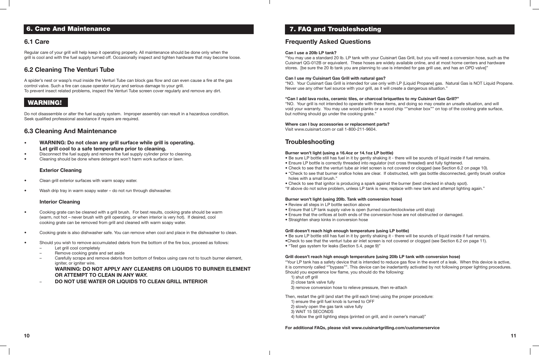#### 6. Care And Maintenance

#### 6.1 Care

Regular care of your grill will help keep it operating properly. All maintenance should be done only when the grill is cool and with the fuel supply turned off. Occasionally inspect and tighten hardware that may become loose.

#### 6.2 Cleaning The Venturi Tube

A spider's nest or wasp's mud inside the Venturi Tube can block gas flow and can even cause a fire at the gas control valve. Such a fire can cause operator injury and serious damage to your grill. To prevent insect related problems, inspect the Venturi Tube screen cover regularly and remove any dirt.

#### WARNING!

Do not disassemble or alter the fuel supply system. Improper assembly can result in a hazardous condition. Seek qualified professional assistance if repairs are required.

#### 6.3 Cleaning And Maintenance

- WARNING: Do not clean any grill surface while grill is operating. Let grill cool to a safe temperature prior to cleaning.
- Disconnect the fuel supply and remove the fuel supply cylinder prior to cleaning.
- Cleaning should be done where detergent won't harm work surface or lawn.

- Cooking grate can be cleaned with a grill brush. For best results, cooking grate should be warm (warm, not hot – never brush with grill operating, or when interior is very hot). If desired, cool cooking grate can be removed from grill and cleaned with warm soapy water.
- Cooking grate is also dishwasher safe. You can remove when cool and place in the dishwasher to clean.
- Should you wish to remove accumulated debris from the bottom of the fire box, proceed as follows:
	- – Let grill cool completely
	- Remove cooking grate and set aside
	- Carefully scrape and remove debris from bottom of firebox using care not to touch burner element, igniter, or igniter wire.

#### Exterior Cleaning

- Clean grill exterior surfaces with warm soapy water.
- Wash drip tray in warm soapy water  $-$  do not run through dishwasher.

#### Interior Cleaning

#### WARNING: DO NOT APPLY ANY CLEANERS OR LIQUIDS TO BURNER ELEMENT OR ATTEMPT TO CLEAN IN ANY WAY.

DO NOT USE WATER OR LIQUIDS TO CLEAN GRILL INTERIOR

- Review all steps in LP bottle section above
- Ensure that LP tank supply valve is open (turned counterclockwise until stop)
- Ensure that the orifices at both ends of the conversion hose are not obstructed or damaged.
- Straighten sharp kinks in conversion hose

#### 7. FAQ and Troubleshooting

#### Frequently Asked Questions

#### Can I use a 20lb LP tank?

"You may use a standard 20 lb. LP tank with your Cuisinart Gas Grill, but you will need a conversion hose, such as the Cuisinart QG-012B or equivalent. These hoses are widely available online, and at most home centers and hardware stores. [be sure the 20 lb tank you are planning to use is intended for gas grill use, and has an OPD valve]"

#### Can I use my Cuisinart Gas Grill with natural gas?

"NO. Your Cuisinart Gas Grill is intended for use only with LP (Liquid Propane) gas. Natural Gas is NOT Liquid Propane. Never use any other fuel source with your grill, as it will create a dangerous situation."

#### "Can I add lava rocks, ceramic tiles, or charcoal briquettes to my Cuisinart Gas Grill?"

"NO. Your grill is not intended to operate with these items, and doing so may create an unsafe situation, and will void your warranty. You may use wood planks or a wood chip ""smoker box"" on top of the cooking grate surface, but nothing should go under the cooking grate."

Where can I buy accessories or replacement parts? Visit www.cuisinart.com or call 1-800-211-9604.

#### **Troubleshooting**

#### Burner won't light (using a 16.4oz or 14.1oz LP bottle)

• Be sure LP bottle still has fuel in it by gently shaking it - there will be sounds of liquid inside if fuel remains. • Check to see that the venturi tube air inlet screen is not covered or clogged (see Section 6.2 on page 10).

- 
- Ensure LP bottle is correctly threaded into regulator (not cross threaded) and fully tightened.
- 
- holes with a small brush."
- Check to see that ignitor is producing a spark against the burner (best checked in shady spot).

• "Check to see that burner orafice holes are clear. If obstructed, with gas bottle disconnected, gently brush orafice

"If above do not solve problem, unless LP tank is new, replace with new tank and attempt lighting again."

#### Burner won't light (using 20lb. Tank with conversion hose)

#### Grill doesn't reach high enough temperature (using LP bottle)

• Be sure LP bottle still has fuel in it by gently shaking it - there will be sounds of liquid inside if fuel remains. •Check to see that the venturi tube air inlet screen is not covered or clogged (see Section 6.2 on page 11).

- 
- 
- "Test gas system for leaks (Section 5.4, page 9)"

#### Grill doesn't reach high enough temperature (using 20lb LP tank with conversion hose)

"Your LP tank has a safety device that is intended to reduce gas flow in the event of a leak. When this device is active, it is commonly called ""bypass"". This device can be inadertantly activated by not following proper lighting procedures. Should you experience low flame, you should do the following:

- 1) shut off grill
- 2) close tank valve fully
- 3) remove conversion hose to relieve pressure, then re-attach

Then, restart the grill (and start the grill each time) using the proper procedure:

- 1) ensure the grill fuel knob is turned to OFF
- 2) slowly open the gas tank valve fully
- 3) WAIT 15 SECONDS
- 4) follow the grill lighting steps (printed on grill, and in owner's manual)"

#### For additional FAQs, please visit www.cuisinartgrilling.com/customerservice